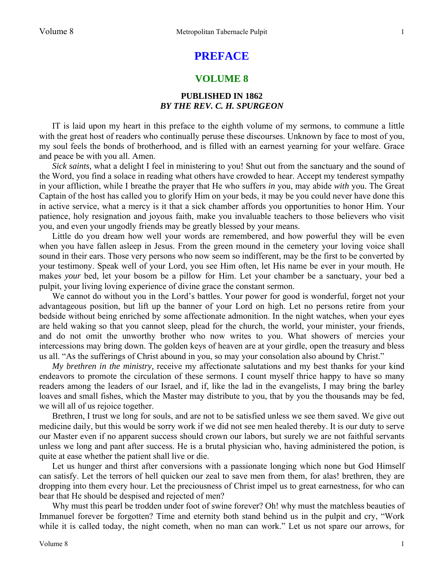## **PREFACE**

## **VOLUME 8**

## **PUBLISHED IN 1862**  *BY THE REV. C. H. SPURGEON*

IT is laid upon my heart in this preface to the eighth volume of my sermons, to commune a little with the great host of readers who continually peruse these discourses. Unknown by face to most of you, my soul feels the bonds of brotherhood, and is filled with an earnest yearning for your welfare. Grace and peace be with you all. Amen.

*Sick saints,* what a delight I feel in ministering to you! Shut out from the sanctuary and the sound of the Word, you find a solace in reading what others have crowded to hear. Accept my tenderest sympathy in your affliction, while I breathe the prayer that He who suffers *in* you, may abide *with* you. The Great Captain of the host has called you to glorify Him on your beds, it may be you could never have done this in active service, what a mercy is it that a sick chamber affords you opportunities to honor Him. Your patience, holy resignation and joyous faith, make you invaluable teachers to those believers who visit you, and even your ungodly friends may be greatly blessed by your means.

Little do you dream how well your words are remembered, and how powerful they will be even when you have fallen asleep in Jesus. From the green mound in the cemetery your loving voice shall sound in their ears. Those very persons who now seem so indifferent, may be the first to be converted by your testimony. Speak well of your Lord, you see Him often, let His name be ever in your mouth. He makes *your* bed, let your bosom be a pillow for Him. Let your chamber be a sanctuary, your bed a pulpit, your living loving experience of divine grace the constant sermon.

We cannot do without you in the Lord's battles. Your power for good is wonderful, forget not your advantageous position, but lift up the banner of your Lord on high. Let no persons retire from your bedside without being enriched by some affectionate admonition. In the night watches, when your eyes are held waking so that you cannot sleep, plead for the church, the world, your minister, your friends, and do not omit the unworthy brother who now writes to you. What showers of mercies your intercessions may bring down. The golden keys of heaven are at your girdle, open the treasury and bless us all. "As the sufferings of Christ abound in you, so may your consolation also abound by Christ."

*My brethren in the ministry,* receive my affectionate salutations and my best thanks for your kind endeavors to promote the circulation of these sermons. I count myself thrice happy to have so many readers among the leaders of our Israel, and if, like the lad in the evangelists, I may bring the barley loaves and small fishes, which the Master may distribute to you, that by you the thousands may be fed, we will all of us rejoice together.

Brethren, I trust we long for souls, and are not to be satisfied unless we see them saved. We give out medicine daily, but this would be sorry work if we did not see men healed thereby. It is our duty to serve our Master even if no apparent success should crown our labors, but surely we are not faithful servants unless we long and pant after success. He is a brutal physician who, having administered the potion, is quite at ease whether the patient shall live or die.

Let us hunger and thirst after conversions with a passionate longing which none but God Himself can satisfy. Let the terrors of hell quicken our zeal to save men from them, for alas! brethren, they are dropping into them every hour. Let the preciousness of Christ impel us to great earnestness, for who can bear that He should be despised and rejected of men?

Why must this pearl be trodden under foot of swine forever? Oh! why must the matchless beauties of Immanuel forever be forgotten? Time and eternity both stand behind us in the pulpit and cry, "Work while it is called today, the night cometh, when no man can work." Let us not spare our arrows, for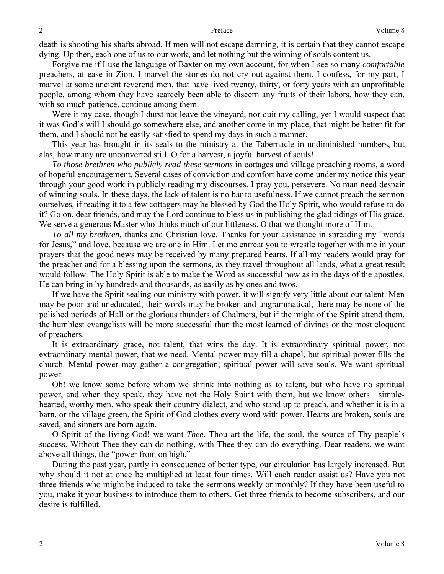death is shooting his shafts abroad. If men will not escape damning, it is certain that they cannot escape dying. Up then, each one of us to our work, and let nothing but the winning of souls content us.

Forgive me if I use the language of Baxter on my own account, for when I see so many *comfortable*  preachers, at ease in Zion, I marvel the stones do not cry out against them. I confess, for my part, I marvel at some ancient reverend men, that have lived twenty, thirty, or forty years with an unprofitable people, among whom they have scarcely been able to discern any fruits of their labors, how they can, with so much patience, continue among them.

Were it my case, though I durst not leave the vineyard, nor quit my calling, yet I would suspect that it was God's will I should go somewhere else, and another come in my place, that might be better fit for them, and I should not be easily satisfied to spend my days in such a manner.

This year has brought in its seals to the ministry at the Tabernacle in undiminished numbers, but alas, how many are unconverted still. O for a harvest, a joyful harvest of souls!

*To those brethren who publicly read these sermons* in cottages and village preaching rooms, a word of hopeful encouragement. Several cases of conviction and comfort have come under my notice this year through your good work in publicly reading my discourses. I pray you, persevere. No man need despair of winning souls. In these days, the lack of talent is no bar to usefulness. If we cannot preach the sermon ourselves, if reading it to a few cottagers may be blessed by God the Holy Spirit, who would refuse to do it? Go on, dear friends, and may the Lord continue to bless us in publishing the glad tidings of His grace. We serve a generous Master who thinks much of our littleness. O that we thought more of Him.

*To all my brethren,* thanks and Christian love. Thanks for your assistance in spreading my "words for Jesus," and love, because we are one in Him. Let me entreat you to wrestle together with me in your prayers that the good news may be received by many prepared hearts. If all my readers would pray for the preacher and for a blessing upon the sermons, as they travel throughout all lands, what a great result would follow. The Holy Spirit is able to make the Word as successful now as in the days of the apostles. He can bring in by hundreds and thousands, as easily as by ones and twos.

If we have the Spirit sealing our ministry with power, it will signify very little about our talent. Men may be poor and uneducated, their words may be broken and ungrammatical, there may be none of the polished periods of Hall or the glorious thunders of Chalmers, but if the might of the Spirit attend them, the humblest evangelists will be more successful than the most learned of divines or the most eloquent of preachers.

It is extraordinary grace, not talent, that wins the day. It is extraordinary spiritual power, not extraordinary mental power, that we need. Mental power may fill a chapel, but spiritual power fills the church. Mental power may gather a congregation, spiritual power will save souls. We want spiritual power.

Oh! we know some before whom we shrink into nothing as to talent, but who have no spiritual power, and when they speak, they have not the Holy Spirit with them, but we know others—simplehearted, worthy men, who speak their country dialect, and who stand up to preach, and whether it is in a barn, or the village green, the Spirit of God clothes every word with power. Hearts are broken, souls are saved, and sinners are born again.

O Spirit of the living God! we want *Thee.* Thou art the life, the soul, the source of Thy people's success. Without Thee they can do nothing, with Thee they can do everything. Dear readers, we want above all things, the "power from on high."

During the past year, partly in consequence of better type, our circulation has largely increased. But why should it not at once be multiplied at least four times. Will each reader assist us? Have you not three friends who might be induced to take the sermons weekly or monthly? If they have been useful to you, make it your business to introduce them to others. Get three friends to become subscribers, and our desire is fulfilled.